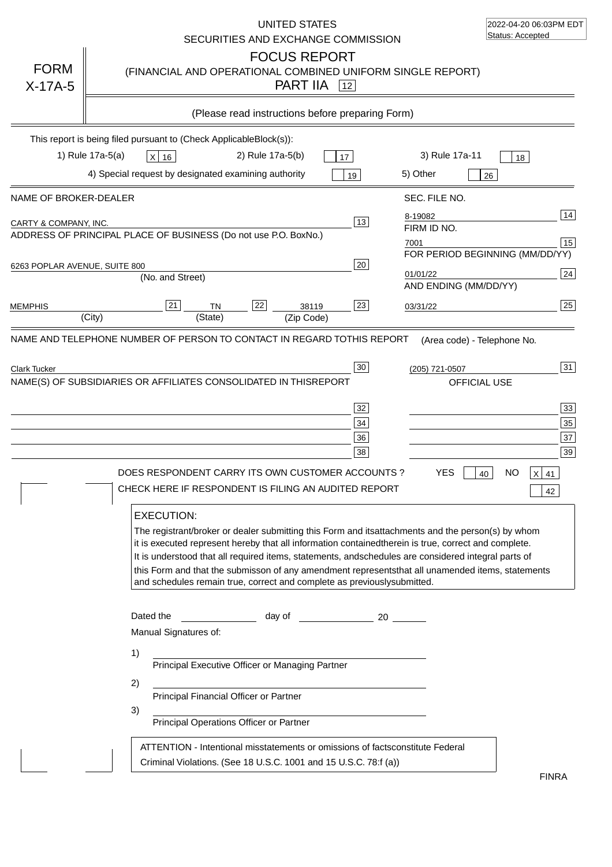|                          | UNITED STATES<br>SECURITIES AND EXCHANGE COMMISSION                                                                                                                                                                                                                                                                                                                                                          | 2022-04-20 06:03PM EDT<br>Status: Accepted                                                                                                                              |
|--------------------------|--------------------------------------------------------------------------------------------------------------------------------------------------------------------------------------------------------------------------------------------------------------------------------------------------------------------------------------------------------------------------------------------------------------|-------------------------------------------------------------------------------------------------------------------------------------------------------------------------|
| <b>FORM</b><br>$X-17A-5$ | <b>FOCUS REPORT</b><br>(FINANCIAL AND OPERATIONAL COMBINED UNIFORM SINGLE REPORT)<br><b>PART IIA</b> $\boxed{12}$                                                                                                                                                                                                                                                                                            |                                                                                                                                                                         |
|                          | (Please read instructions before preparing Form)                                                                                                                                                                                                                                                                                                                                                             |                                                                                                                                                                         |
|                          | This report is being filed pursuant to (Check Applicable<br>$Block(s)$ :<br>1) Rule 17a-5(a)<br>2) Rule 17a-5(b)<br>3) Rule 17a-11<br>$X$ 16<br>17<br>4) Special request by designated examining authority<br>5) Other<br>19                                                                                                                                                                                 | 18<br>26                                                                                                                                                                |
| NAME OF BROKER-DEALER    | SEC. FILE NO.                                                                                                                                                                                                                                                                                                                                                                                                |                                                                                                                                                                         |
| CARTY & COMPANY, INC.    | 8-19082<br>13<br>FIRM ID NO.<br>ADDRESS OF PRINCIPAL PLACE OF BUSINESS (Do not use P.O. Box<br>$No.$ )<br>7001                                                                                                                                                                                                                                                                                               | 14<br>15                                                                                                                                                                |
|                          | 20<br>6263 POPLAR AVENUE, SUITE 800<br>01/01/22<br>(No. and Street)<br>AND ENDING (MM/DD/YY)                                                                                                                                                                                                                                                                                                                 | FOR PERIOD BEGINNING (MM/DD/YY)<br>24                                                                                                                                   |
| <b>MEMPHIS</b>           | $\overline{22}$<br>21<br>23<br>TN<br>38119<br>03/31/22<br>(State)<br>(City)<br>(Zip Code)                                                                                                                                                                                                                                                                                                                    | 25                                                                                                                                                                      |
| <b>Clark Tucker</b>      | 30<br>(205) 721-0507<br>NAME(S) OF SUBSIDIARIES OR AFFILIATES CONSOLIDATED IN THIS<br><b>REPORT</b><br>32<br>34<br>36<br>38<br>DOES RESPONDENT CARRY ITS OWN CUSTOMER ACCOUNTS?<br><b>YES</b><br>CHECK HERE IF RESPONDENT IS FILING AN AUDITED REPORT<br><b>EXECUTION:</b><br>The registrant/broker or dealer submitting this Form and its<br>it is executed represent hereby that all information contained | 31<br><b>OFFICIAL USE</b><br>33<br>35<br>37<br>39<br><b>NO</b><br>$X$ 41<br>40<br>42<br>attachments and the person(s) by whom<br>therein is true, correct and complete. |
|                          | It is understood that all required items, statements, and<br>schedules are considered integral parts of<br>this Form and that the submisson of any amendment represents<br>and schedules remain true, correct and complete as previously<br>submitted.<br>Dated the<br>day of<br>20<br>Manual Signatures of:<br>1)<br>Principal Executive Officer or Managing Partner                                        | that all unamended items, statements                                                                                                                                    |
|                          | 2)<br>Principal Financial Officer or Partner<br>3)<br>Principal Operations Officer or Partner<br>ATTENTION - Intentional misstatements or omissions of facts<br>constitute Federal                                                                                                                                                                                                                           |                                                                                                                                                                         |
|                          | Criminal Violations. (See 18 U.S.C. 1001 and 15 U.S.C. 78:f (a)                                                                                                                                                                                                                                                                                                                                              | <b>FINRA</b>                                                                                                                                                            |

FINRA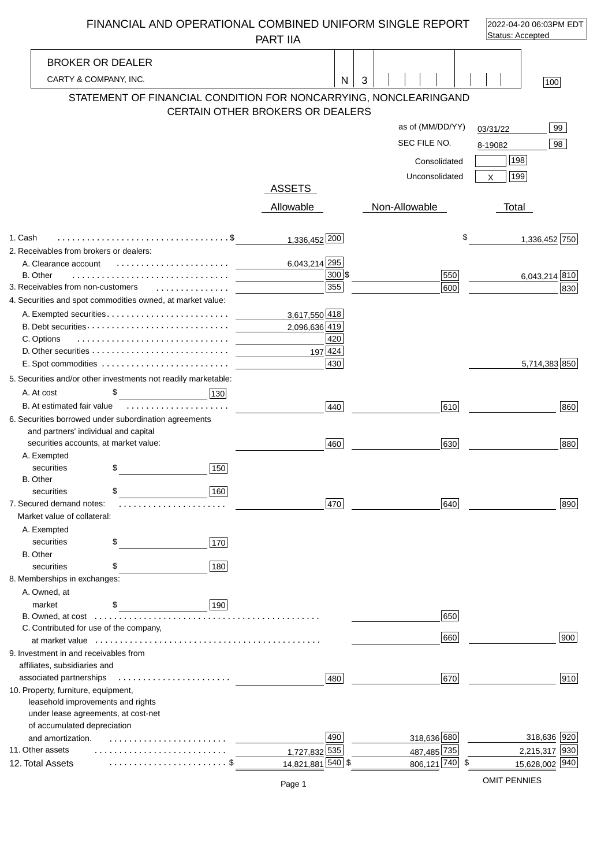|                                                                               | FINANCIAL AND OPERATIONAL COMBINED UNIFORM SINGLE REPORT      |     | PART IIA                         |        |   |               |                  |     |            | Status: Accepted | 2022-04-20 06:03PM EDT |  |
|-------------------------------------------------------------------------------|---------------------------------------------------------------|-----|----------------------------------|--------|---|---------------|------------------|-----|------------|------------------|------------------------|--|
| <b>BROKER OR DEALER</b>                                                       |                                                               |     |                                  |        |   |               |                  |     |            |                  |                        |  |
| CARTY & COMPANY, INC.                                                         |                                                               |     |                                  | N      | 3 |               |                  |     |            |                  | 100                    |  |
|                                                                               | STATEMENT OF FINANCIAL CONDITION FOR NONCARRYING, NONCLEARING |     |                                  |        |   |               |                  |     | <b>AND</b> |                  |                        |  |
|                                                                               |                                                               |     | CERTAIN OTHER BROKERS OR DEALERS |        |   |               |                  |     |            |                  |                        |  |
|                                                                               |                                                               |     |                                  |        |   |               | as of (MM/DD/YY) |     |            |                  | 99                     |  |
|                                                                               |                                                               |     |                                  |        |   |               | SEC FILE NO.     |     | 03/31/22   |                  |                        |  |
|                                                                               |                                                               |     |                                  |        |   |               |                  |     | 8-19082    |                  | 98                     |  |
|                                                                               |                                                               |     |                                  |        |   |               | Consolidated     |     |            | 198              |                        |  |
|                                                                               |                                                               |     |                                  |        |   |               | Unconsolidated   |     | X          | 199              |                        |  |
|                                                                               |                                                               |     | <b>ASSETS</b>                    |        |   |               |                  |     |            |                  |                        |  |
|                                                                               |                                                               |     | Allowable                        |        |   | Non-Allowable |                  |     |            | Total            |                        |  |
| 1. Cash                                                                       |                                                               |     | 1,336,452 200                    |        |   |               |                  | \$  |            |                  | 1,336,452 750          |  |
| 2. Receivables from brokers or dealers:                                       |                                                               |     |                                  |        |   |               |                  |     |            |                  |                        |  |
| A. Clearance account                                                          |                                                               |     | 6,043,214 295                    |        |   |               |                  |     |            |                  |                        |  |
| B. Other                                                                      |                                                               |     |                                  | 300 \$ |   |               | 550              |     |            |                  | 6,043,214 810          |  |
| 3. Receivables from non-customers                                             | .                                                             |     | 355                              |        |   |               | 600              |     |            |                  | 830                    |  |
| 4. Securities and spot commodities owned, at market value:                    |                                                               |     |                                  |        |   |               |                  |     |            |                  |                        |  |
|                                                                               |                                                               |     | 3,617,550 418                    |        |   |               |                  |     |            |                  |                        |  |
|                                                                               |                                                               |     | 2,096,636 419                    |        |   |               |                  |     |            |                  |                        |  |
| C. Options                                                                    |                                                               |     | 420                              |        |   |               |                  |     |            |                  |                        |  |
|                                                                               |                                                               |     | 197 424                          |        |   |               |                  |     |            |                  |                        |  |
|                                                                               |                                                               |     | 430                              |        |   |               |                  |     |            |                  | 5,714,383 850          |  |
| 5. Securities and/or other investments not readily marketable:                |                                                               |     |                                  |        |   |               |                  |     |            |                  |                        |  |
| A. At cost                                                                    | \$                                                            | 130 |                                  |        |   |               |                  |     |            |                  |                        |  |
| B. At estimated fair value                                                    |                                                               |     | 440                              |        |   |               | 610              |     |            |                  | 860                    |  |
| 6. Securities borrowed under subordination agreements                         |                                                               |     |                                  |        |   |               |                  |     |            |                  |                        |  |
| and partners' individual and capital<br>securities accounts, at market value: |                                                               |     | 460                              |        |   |               | 630              |     |            |                  | 880                    |  |
| A. Exempted                                                                   |                                                               |     |                                  |        |   |               |                  |     |            |                  |                        |  |
| securities                                                                    | \$                                                            | 150 |                                  |        |   |               |                  |     |            |                  |                        |  |
| <b>B.</b> Other                                                               |                                                               |     |                                  |        |   |               |                  |     |            |                  |                        |  |
| securities                                                                    |                                                               | 160 |                                  |        |   |               |                  |     |            |                  |                        |  |
| 7. Secured demand notes:                                                      |                                                               |     | 470                              |        |   |               | 640              |     |            |                  | 890                    |  |
| Market value of collateral:                                                   |                                                               |     |                                  |        |   |               |                  |     |            |                  |                        |  |
| A. Exempted                                                                   |                                                               |     |                                  |        |   |               |                  |     |            |                  |                        |  |
| securities                                                                    | \$                                                            | 170 |                                  |        |   |               |                  |     |            |                  |                        |  |
| <b>B.</b> Other<br>securities                                                 |                                                               | 180 |                                  |        |   |               |                  |     |            |                  |                        |  |
| 8. Memberships in exchanges:                                                  |                                                               |     |                                  |        |   |               |                  |     |            |                  |                        |  |
| A. Owned, at                                                                  |                                                               |     |                                  |        |   |               |                  |     |            |                  |                        |  |
| market                                                                        |                                                               | 190 |                                  |        |   |               |                  |     |            |                  |                        |  |
|                                                                               |                                                               |     |                                  |        |   |               | 650              |     |            |                  |                        |  |
| C. Contributed for use of the company,                                        |                                                               |     |                                  |        |   |               |                  |     |            |                  |                        |  |
|                                                                               |                                                               |     |                                  |        |   |               | 660              |     |            |                  | 900                    |  |
| 9. Investment in and receivables from                                         |                                                               |     |                                  |        |   |               |                  |     |            |                  |                        |  |
| affiliates, subsidiaries and                                                  |                                                               |     |                                  |        |   |               |                  |     |            |                  |                        |  |
| associated partnerships<br>10. Property, furniture, equipment,                |                                                               |     | 480                              |        |   |               | 670              |     |            |                  | 910                    |  |
| leasehold improvements and rights                                             |                                                               |     |                                  |        |   |               |                  |     |            |                  |                        |  |
| under lease agreements, at cost-net                                           |                                                               |     |                                  |        |   |               |                  |     |            |                  |                        |  |
| of accumulated depreciation                                                   |                                                               |     |                                  |        |   |               |                  |     |            |                  |                        |  |
| and amortization.                                                             | .                                                             |     | 490                              |        |   |               | 318,636 680      |     |            |                  | 318,636 920            |  |
| 11. Other assets                                                              |                                                               |     | 1,727,832 535                    |        |   |               | 487,485 735      |     |            |                  | 2,215,317 930          |  |
| 12. Total Assets                                                              |                                                               |     | 14,821,881 540 \$                |        |   |               | 806,121 740      | -\$ |            |                  | 15,628,002 940         |  |

OMIT PENNIES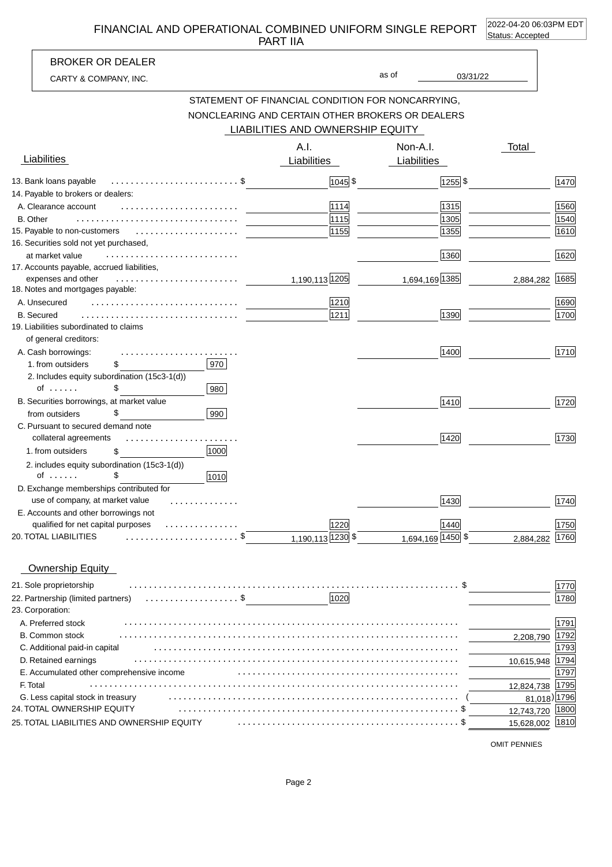PART IIA FINANCIAL AND OPERATIONAL COMBINED UNIFORM SINGLE REPORT

2022-04-20 06:03PM EDT Status: Accepted

| as of<br>03/31/22<br>CARTY & COMPANY, INC.<br>STATEMENT OF FINANCIAL CONDITION FOR NONCARRYING,<br>NONCLEARING AND CERTAIN OTHER BROKERS OR DEALERS<br>LIABILITIES AND OWNERSHIP EQUITY<br>A.I.<br>Non-A.I.<br>Total<br>Liabilities<br>Liabilities<br>Liabilities<br>$1045$ \$<br>$1255$ \$<br>1470<br>1114<br>1315<br>1560<br>A. Clearance account<br>1540<br>1115<br>1305<br><b>B.</b> Other<br>.<br>1155<br>1355<br>1610<br>15. Payable to non-customers<br>16. Securities sold not yet purchased,<br>1360<br>1620<br>at market value<br>17. Accounts payable, accrued liabilities,<br>1,694,169 1385<br>1,190,113 1205<br>1685<br>expenses and other<br>2,884,282<br>18. Notes and mortgages payable:<br>1210<br>A. Unsecured<br>1690<br>1211<br>1390<br>1700<br><b>B.</b> Secured<br>.<br>19. Liabilities subordinated to claims<br>of general creditors:<br>1710<br>1400<br>A. Cash borrowings:<br>970<br>1. from outsiders<br>S<br>2. Includes equity subordination (15c3-1(d))<br>of $\ldots$<br>\$<br>980<br>B. Securities borrowings, at market value<br>1410<br>1720<br>\$<br>990<br>from outsiders<br>C. Pursuant to secured demand note<br>1730<br>collateral agreements<br>1420<br>1000<br>1. from outsiders<br>\$<br>2. includes equity subordination (15c3-1(d))<br>\$<br>of $\ldots$<br>1010<br>D. Exchange memberships contributed for<br>1430<br>1740<br>use of company, at market value<br>.<br>E. Accounts and other borrowings not<br>qualified for net capital purposes<br>1220<br>1440<br>1750<br>1,190,113 1230 \$<br>1,694,169 1450<br>\$<br>1760<br>2,884,282<br><b>Ownership Equity</b><br>1770<br>. \$<br>1020<br>1780<br>22. Partnership (limited partners)<br>23. Corporation:<br>A. Preferred stock<br>1791<br><b>B.</b> Common stock<br>1792<br>2,208,790<br>C. Additional paid-in capital<br>1793<br>D. Retained earnings<br>1794<br>10,615,948<br>E. Accumulated other comprehensive income<br>1797<br>F. Total<br>1795<br>12,824,738<br>G. Less capital stock in treasury<br>1796<br>81,018<br>24. TOTAL OWNERSHIP EQUITY<br>12,743,720<br>1800<br>1810 <br>15,628,002 | <b>BROKER OR DEALER</b>                    |  |  |
|------------------------------------------------------------------------------------------------------------------------------------------------------------------------------------------------------------------------------------------------------------------------------------------------------------------------------------------------------------------------------------------------------------------------------------------------------------------------------------------------------------------------------------------------------------------------------------------------------------------------------------------------------------------------------------------------------------------------------------------------------------------------------------------------------------------------------------------------------------------------------------------------------------------------------------------------------------------------------------------------------------------------------------------------------------------------------------------------------------------------------------------------------------------------------------------------------------------------------------------------------------------------------------------------------------------------------------------------------------------------------------------------------------------------------------------------------------------------------------------------------------------------------------------------------------------------------------------------------------------------------------------------------------------------------------------------------------------------------------------------------------------------------------------------------------------------------------------------------------------------------------------------------------------------------------------------------------------------------------------------------------------------------------------------------------------------------------------------------------|--------------------------------------------|--|--|
|                                                                                                                                                                                                                                                                                                                                                                                                                                                                                                                                                                                                                                                                                                                                                                                                                                                                                                                                                                                                                                                                                                                                                                                                                                                                                                                                                                                                                                                                                                                                                                                                                                                                                                                                                                                                                                                                                                                                                                                                                                                                                                            |                                            |  |  |
|                                                                                                                                                                                                                                                                                                                                                                                                                                                                                                                                                                                                                                                                                                                                                                                                                                                                                                                                                                                                                                                                                                                                                                                                                                                                                                                                                                                                                                                                                                                                                                                                                                                                                                                                                                                                                                                                                                                                                                                                                                                                                                            |                                            |  |  |
|                                                                                                                                                                                                                                                                                                                                                                                                                                                                                                                                                                                                                                                                                                                                                                                                                                                                                                                                                                                                                                                                                                                                                                                                                                                                                                                                                                                                                                                                                                                                                                                                                                                                                                                                                                                                                                                                                                                                                                                                                                                                                                            |                                            |  |  |
|                                                                                                                                                                                                                                                                                                                                                                                                                                                                                                                                                                                                                                                                                                                                                                                                                                                                                                                                                                                                                                                                                                                                                                                                                                                                                                                                                                                                                                                                                                                                                                                                                                                                                                                                                                                                                                                                                                                                                                                                                                                                                                            |                                            |  |  |
|                                                                                                                                                                                                                                                                                                                                                                                                                                                                                                                                                                                                                                                                                                                                                                                                                                                                                                                                                                                                                                                                                                                                                                                                                                                                                                                                                                                                                                                                                                                                                                                                                                                                                                                                                                                                                                                                                                                                                                                                                                                                                                            |                                            |  |  |
|                                                                                                                                                                                                                                                                                                                                                                                                                                                                                                                                                                                                                                                                                                                                                                                                                                                                                                                                                                                                                                                                                                                                                                                                                                                                                                                                                                                                                                                                                                                                                                                                                                                                                                                                                                                                                                                                                                                                                                                                                                                                                                            |                                            |  |  |
|                                                                                                                                                                                                                                                                                                                                                                                                                                                                                                                                                                                                                                                                                                                                                                                                                                                                                                                                                                                                                                                                                                                                                                                                                                                                                                                                                                                                                                                                                                                                                                                                                                                                                                                                                                                                                                                                                                                                                                                                                                                                                                            | 13. Bank loans payable                     |  |  |
|                                                                                                                                                                                                                                                                                                                                                                                                                                                                                                                                                                                                                                                                                                                                                                                                                                                                                                                                                                                                                                                                                                                                                                                                                                                                                                                                                                                                                                                                                                                                                                                                                                                                                                                                                                                                                                                                                                                                                                                                                                                                                                            | 14. Payable to brokers or dealers:         |  |  |
|                                                                                                                                                                                                                                                                                                                                                                                                                                                                                                                                                                                                                                                                                                                                                                                                                                                                                                                                                                                                                                                                                                                                                                                                                                                                                                                                                                                                                                                                                                                                                                                                                                                                                                                                                                                                                                                                                                                                                                                                                                                                                                            |                                            |  |  |
|                                                                                                                                                                                                                                                                                                                                                                                                                                                                                                                                                                                                                                                                                                                                                                                                                                                                                                                                                                                                                                                                                                                                                                                                                                                                                                                                                                                                                                                                                                                                                                                                                                                                                                                                                                                                                                                                                                                                                                                                                                                                                                            |                                            |  |  |
|                                                                                                                                                                                                                                                                                                                                                                                                                                                                                                                                                                                                                                                                                                                                                                                                                                                                                                                                                                                                                                                                                                                                                                                                                                                                                                                                                                                                                                                                                                                                                                                                                                                                                                                                                                                                                                                                                                                                                                                                                                                                                                            |                                            |  |  |
|                                                                                                                                                                                                                                                                                                                                                                                                                                                                                                                                                                                                                                                                                                                                                                                                                                                                                                                                                                                                                                                                                                                                                                                                                                                                                                                                                                                                                                                                                                                                                                                                                                                                                                                                                                                                                                                                                                                                                                                                                                                                                                            |                                            |  |  |
|                                                                                                                                                                                                                                                                                                                                                                                                                                                                                                                                                                                                                                                                                                                                                                                                                                                                                                                                                                                                                                                                                                                                                                                                                                                                                                                                                                                                                                                                                                                                                                                                                                                                                                                                                                                                                                                                                                                                                                                                                                                                                                            |                                            |  |  |
|                                                                                                                                                                                                                                                                                                                                                                                                                                                                                                                                                                                                                                                                                                                                                                                                                                                                                                                                                                                                                                                                                                                                                                                                                                                                                                                                                                                                                                                                                                                                                                                                                                                                                                                                                                                                                                                                                                                                                                                                                                                                                                            |                                            |  |  |
|                                                                                                                                                                                                                                                                                                                                                                                                                                                                                                                                                                                                                                                                                                                                                                                                                                                                                                                                                                                                                                                                                                                                                                                                                                                                                                                                                                                                                                                                                                                                                                                                                                                                                                                                                                                                                                                                                                                                                                                                                                                                                                            |                                            |  |  |
|                                                                                                                                                                                                                                                                                                                                                                                                                                                                                                                                                                                                                                                                                                                                                                                                                                                                                                                                                                                                                                                                                                                                                                                                                                                                                                                                                                                                                                                                                                                                                                                                                                                                                                                                                                                                                                                                                                                                                                                                                                                                                                            |                                            |  |  |
|                                                                                                                                                                                                                                                                                                                                                                                                                                                                                                                                                                                                                                                                                                                                                                                                                                                                                                                                                                                                                                                                                                                                                                                                                                                                                                                                                                                                                                                                                                                                                                                                                                                                                                                                                                                                                                                                                                                                                                                                                                                                                                            |                                            |  |  |
|                                                                                                                                                                                                                                                                                                                                                                                                                                                                                                                                                                                                                                                                                                                                                                                                                                                                                                                                                                                                                                                                                                                                                                                                                                                                                                                                                                                                                                                                                                                                                                                                                                                                                                                                                                                                                                                                                                                                                                                                                                                                                                            |                                            |  |  |
|                                                                                                                                                                                                                                                                                                                                                                                                                                                                                                                                                                                                                                                                                                                                                                                                                                                                                                                                                                                                                                                                                                                                                                                                                                                                                                                                                                                                                                                                                                                                                                                                                                                                                                                                                                                                                                                                                                                                                                                                                                                                                                            |                                            |  |  |
|                                                                                                                                                                                                                                                                                                                                                                                                                                                                                                                                                                                                                                                                                                                                                                                                                                                                                                                                                                                                                                                                                                                                                                                                                                                                                                                                                                                                                                                                                                                                                                                                                                                                                                                                                                                                                                                                                                                                                                                                                                                                                                            |                                            |  |  |
|                                                                                                                                                                                                                                                                                                                                                                                                                                                                                                                                                                                                                                                                                                                                                                                                                                                                                                                                                                                                                                                                                                                                                                                                                                                                                                                                                                                                                                                                                                                                                                                                                                                                                                                                                                                                                                                                                                                                                                                                                                                                                                            |                                            |  |  |
|                                                                                                                                                                                                                                                                                                                                                                                                                                                                                                                                                                                                                                                                                                                                                                                                                                                                                                                                                                                                                                                                                                                                                                                                                                                                                                                                                                                                                                                                                                                                                                                                                                                                                                                                                                                                                                                                                                                                                                                                                                                                                                            |                                            |  |  |
|                                                                                                                                                                                                                                                                                                                                                                                                                                                                                                                                                                                                                                                                                                                                                                                                                                                                                                                                                                                                                                                                                                                                                                                                                                                                                                                                                                                                                                                                                                                                                                                                                                                                                                                                                                                                                                                                                                                                                                                                                                                                                                            |                                            |  |  |
|                                                                                                                                                                                                                                                                                                                                                                                                                                                                                                                                                                                                                                                                                                                                                                                                                                                                                                                                                                                                                                                                                                                                                                                                                                                                                                                                                                                                                                                                                                                                                                                                                                                                                                                                                                                                                                                                                                                                                                                                                                                                                                            |                                            |  |  |
|                                                                                                                                                                                                                                                                                                                                                                                                                                                                                                                                                                                                                                                                                                                                                                                                                                                                                                                                                                                                                                                                                                                                                                                                                                                                                                                                                                                                                                                                                                                                                                                                                                                                                                                                                                                                                                                                                                                                                                                                                                                                                                            |                                            |  |  |
|                                                                                                                                                                                                                                                                                                                                                                                                                                                                                                                                                                                                                                                                                                                                                                                                                                                                                                                                                                                                                                                                                                                                                                                                                                                                                                                                                                                                                                                                                                                                                                                                                                                                                                                                                                                                                                                                                                                                                                                                                                                                                                            |                                            |  |  |
|                                                                                                                                                                                                                                                                                                                                                                                                                                                                                                                                                                                                                                                                                                                                                                                                                                                                                                                                                                                                                                                                                                                                                                                                                                                                                                                                                                                                                                                                                                                                                                                                                                                                                                                                                                                                                                                                                                                                                                                                                                                                                                            |                                            |  |  |
|                                                                                                                                                                                                                                                                                                                                                                                                                                                                                                                                                                                                                                                                                                                                                                                                                                                                                                                                                                                                                                                                                                                                                                                                                                                                                                                                                                                                                                                                                                                                                                                                                                                                                                                                                                                                                                                                                                                                                                                                                                                                                                            |                                            |  |  |
|                                                                                                                                                                                                                                                                                                                                                                                                                                                                                                                                                                                                                                                                                                                                                                                                                                                                                                                                                                                                                                                                                                                                                                                                                                                                                                                                                                                                                                                                                                                                                                                                                                                                                                                                                                                                                                                                                                                                                                                                                                                                                                            |                                            |  |  |
|                                                                                                                                                                                                                                                                                                                                                                                                                                                                                                                                                                                                                                                                                                                                                                                                                                                                                                                                                                                                                                                                                                                                                                                                                                                                                                                                                                                                                                                                                                                                                                                                                                                                                                                                                                                                                                                                                                                                                                                                                                                                                                            |                                            |  |  |
|                                                                                                                                                                                                                                                                                                                                                                                                                                                                                                                                                                                                                                                                                                                                                                                                                                                                                                                                                                                                                                                                                                                                                                                                                                                                                                                                                                                                                                                                                                                                                                                                                                                                                                                                                                                                                                                                                                                                                                                                                                                                                                            |                                            |  |  |
|                                                                                                                                                                                                                                                                                                                                                                                                                                                                                                                                                                                                                                                                                                                                                                                                                                                                                                                                                                                                                                                                                                                                                                                                                                                                                                                                                                                                                                                                                                                                                                                                                                                                                                                                                                                                                                                                                                                                                                                                                                                                                                            |                                            |  |  |
|                                                                                                                                                                                                                                                                                                                                                                                                                                                                                                                                                                                                                                                                                                                                                                                                                                                                                                                                                                                                                                                                                                                                                                                                                                                                                                                                                                                                                                                                                                                                                                                                                                                                                                                                                                                                                                                                                                                                                                                                                                                                                                            |                                            |  |  |
|                                                                                                                                                                                                                                                                                                                                                                                                                                                                                                                                                                                                                                                                                                                                                                                                                                                                                                                                                                                                                                                                                                                                                                                                                                                                                                                                                                                                                                                                                                                                                                                                                                                                                                                                                                                                                                                                                                                                                                                                                                                                                                            |                                            |  |  |
|                                                                                                                                                                                                                                                                                                                                                                                                                                                                                                                                                                                                                                                                                                                                                                                                                                                                                                                                                                                                                                                                                                                                                                                                                                                                                                                                                                                                                                                                                                                                                                                                                                                                                                                                                                                                                                                                                                                                                                                                                                                                                                            |                                            |  |  |
|                                                                                                                                                                                                                                                                                                                                                                                                                                                                                                                                                                                                                                                                                                                                                                                                                                                                                                                                                                                                                                                                                                                                                                                                                                                                                                                                                                                                                                                                                                                                                                                                                                                                                                                                                                                                                                                                                                                                                                                                                                                                                                            |                                            |  |  |
|                                                                                                                                                                                                                                                                                                                                                                                                                                                                                                                                                                                                                                                                                                                                                                                                                                                                                                                                                                                                                                                                                                                                                                                                                                                                                                                                                                                                                                                                                                                                                                                                                                                                                                                                                                                                                                                                                                                                                                                                                                                                                                            |                                            |  |  |
|                                                                                                                                                                                                                                                                                                                                                                                                                                                                                                                                                                                                                                                                                                                                                                                                                                                                                                                                                                                                                                                                                                                                                                                                                                                                                                                                                                                                                                                                                                                                                                                                                                                                                                                                                                                                                                                                                                                                                                                                                                                                                                            | <b>20. TOTAL LIABILITIES</b>               |  |  |
|                                                                                                                                                                                                                                                                                                                                                                                                                                                                                                                                                                                                                                                                                                                                                                                                                                                                                                                                                                                                                                                                                                                                                                                                                                                                                                                                                                                                                                                                                                                                                                                                                                                                                                                                                                                                                                                                                                                                                                                                                                                                                                            |                                            |  |  |
|                                                                                                                                                                                                                                                                                                                                                                                                                                                                                                                                                                                                                                                                                                                                                                                                                                                                                                                                                                                                                                                                                                                                                                                                                                                                                                                                                                                                                                                                                                                                                                                                                                                                                                                                                                                                                                                                                                                                                                                                                                                                                                            |                                            |  |  |
|                                                                                                                                                                                                                                                                                                                                                                                                                                                                                                                                                                                                                                                                                                                                                                                                                                                                                                                                                                                                                                                                                                                                                                                                                                                                                                                                                                                                                                                                                                                                                                                                                                                                                                                                                                                                                                                                                                                                                                                                                                                                                                            |                                            |  |  |
|                                                                                                                                                                                                                                                                                                                                                                                                                                                                                                                                                                                                                                                                                                                                                                                                                                                                                                                                                                                                                                                                                                                                                                                                                                                                                                                                                                                                                                                                                                                                                                                                                                                                                                                                                                                                                                                                                                                                                                                                                                                                                                            | 21. Sole proprietorship                    |  |  |
|                                                                                                                                                                                                                                                                                                                                                                                                                                                                                                                                                                                                                                                                                                                                                                                                                                                                                                                                                                                                                                                                                                                                                                                                                                                                                                                                                                                                                                                                                                                                                                                                                                                                                                                                                                                                                                                                                                                                                                                                                                                                                                            |                                            |  |  |
|                                                                                                                                                                                                                                                                                                                                                                                                                                                                                                                                                                                                                                                                                                                                                                                                                                                                                                                                                                                                                                                                                                                                                                                                                                                                                                                                                                                                                                                                                                                                                                                                                                                                                                                                                                                                                                                                                                                                                                                                                                                                                                            |                                            |  |  |
|                                                                                                                                                                                                                                                                                                                                                                                                                                                                                                                                                                                                                                                                                                                                                                                                                                                                                                                                                                                                                                                                                                                                                                                                                                                                                                                                                                                                                                                                                                                                                                                                                                                                                                                                                                                                                                                                                                                                                                                                                                                                                                            |                                            |  |  |
|                                                                                                                                                                                                                                                                                                                                                                                                                                                                                                                                                                                                                                                                                                                                                                                                                                                                                                                                                                                                                                                                                                                                                                                                                                                                                                                                                                                                                                                                                                                                                                                                                                                                                                                                                                                                                                                                                                                                                                                                                                                                                                            |                                            |  |  |
|                                                                                                                                                                                                                                                                                                                                                                                                                                                                                                                                                                                                                                                                                                                                                                                                                                                                                                                                                                                                                                                                                                                                                                                                                                                                                                                                                                                                                                                                                                                                                                                                                                                                                                                                                                                                                                                                                                                                                                                                                                                                                                            |                                            |  |  |
|                                                                                                                                                                                                                                                                                                                                                                                                                                                                                                                                                                                                                                                                                                                                                                                                                                                                                                                                                                                                                                                                                                                                                                                                                                                                                                                                                                                                                                                                                                                                                                                                                                                                                                                                                                                                                                                                                                                                                                                                                                                                                                            |                                            |  |  |
|                                                                                                                                                                                                                                                                                                                                                                                                                                                                                                                                                                                                                                                                                                                                                                                                                                                                                                                                                                                                                                                                                                                                                                                                                                                                                                                                                                                                                                                                                                                                                                                                                                                                                                                                                                                                                                                                                                                                                                                                                                                                                                            |                                            |  |  |
|                                                                                                                                                                                                                                                                                                                                                                                                                                                                                                                                                                                                                                                                                                                                                                                                                                                                                                                                                                                                                                                                                                                                                                                                                                                                                                                                                                                                                                                                                                                                                                                                                                                                                                                                                                                                                                                                                                                                                                                                                                                                                                            |                                            |  |  |
|                                                                                                                                                                                                                                                                                                                                                                                                                                                                                                                                                                                                                                                                                                                                                                                                                                                                                                                                                                                                                                                                                                                                                                                                                                                                                                                                                                                                                                                                                                                                                                                                                                                                                                                                                                                                                                                                                                                                                                                                                                                                                                            |                                            |  |  |
|                                                                                                                                                                                                                                                                                                                                                                                                                                                                                                                                                                                                                                                                                                                                                                                                                                                                                                                                                                                                                                                                                                                                                                                                                                                                                                                                                                                                                                                                                                                                                                                                                                                                                                                                                                                                                                                                                                                                                                                                                                                                                                            |                                            |  |  |
|                                                                                                                                                                                                                                                                                                                                                                                                                                                                                                                                                                                                                                                                                                                                                                                                                                                                                                                                                                                                                                                                                                                                                                                                                                                                                                                                                                                                                                                                                                                                                                                                                                                                                                                                                                                                                                                                                                                                                                                                                                                                                                            |                                            |  |  |
|                                                                                                                                                                                                                                                                                                                                                                                                                                                                                                                                                                                                                                                                                                                                                                                                                                                                                                                                                                                                                                                                                                                                                                                                                                                                                                                                                                                                                                                                                                                                                                                                                                                                                                                                                                                                                                                                                                                                                                                                                                                                                                            | 25. TOTAL LIABILITIES AND OWNERSHIP EQUITY |  |  |

OMIT PENNIES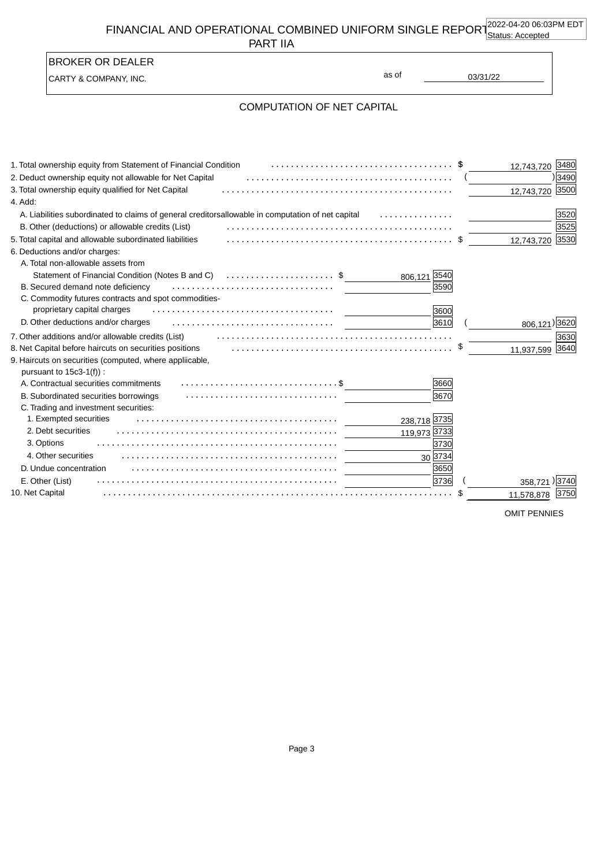FINANCIAL AND OPERATIONAL COMBINED UNIFORM SINGLE REPORT 2022-04-20 06:03PM EDT Status: Accepted

| <b>PART IIA</b>                                                                                              |              |              |               |              |
|--------------------------------------------------------------------------------------------------------------|--------------|--------------|---------------|--------------|
| <b>BROKER OR DEALER</b>                                                                                      |              |              |               |              |
| CARTY & COMPANY, INC.                                                                                        | as of        | 03/31/22     |               |              |
| <b>COMPUTATION OF NET CAPITAL</b>                                                                            |              |              |               |              |
| 1. Total ownership equity from Statement of Financial Condition                                              |              |              | 3480          |              |
| 2. Deduct ownership equity not allowable for Net Capital                                                     |              |              | 12,743,720    | 3490         |
| 3. Total ownership equity qualified for Net Capital                                                          |              |              | 12,743,720    | 3500         |
| 4. Add:                                                                                                      |              |              |               |              |
| A. Liabilities subordinated to claims of general creditors allowable in computation of net capital           |              |              |               | 3520         |
| B. Other (deductions) or allowable credits (List)                                                            |              |              |               | 3525         |
| 5. Total capital and allowable subordinated liabilities                                                      |              |              | 12,743,720    | 3530         |
| 6. Deductions and/or charges:                                                                                |              |              |               |              |
| A. Total non-allowable assets from                                                                           |              |              |               |              |
| Statement of Financial Condition (Notes B and C) <i></i> \$                                                  | 806,121 3540 |              |               |              |
| B. Secured demand note deficiency                                                                            |              | 3590         |               |              |
| C. Commodity futures contracts and spot commodities-<br>proprietary capital charges                          |              |              |               |              |
| D. Other deductions and/or charges                                                                           |              | 3600<br>3610 |               |              |
|                                                                                                              |              |              | 806,121) 3620 |              |
| 7. Other additions and/or allowable credits (List)<br>8. Net Capital before haircuts on securities positions |              |              |               | 3630<br>3640 |
| 9. Haircuts on securities (computed, where appliicable,                                                      |              |              | 11.937.599    |              |
| pursuant to 15c3-1(f)):                                                                                      |              |              |               |              |
| A. Contractual securities commitments                                                                        |              | 3660         |               |              |
| B. Subordinated securities borrowings                                                                        |              | 3670         |               |              |
| C. Trading and investment securities:                                                                        |              |              |               |              |
| 1. Exempted securities                                                                                       | 238,718 3735 |              |               |              |
| 2. Debt securities                                                                                           | 119,973 3733 |              |               |              |
| 3. Options                                                                                                   |              | 3730         |               |              |
| 4. Other securities                                                                                          | 30 3734      |              |               |              |
| D. Undue concentration                                                                                       |              | 3650         |               |              |
| E. Other (List)                                                                                              |              | 3736         | 358,721) 3740 |              |

.......................................................................

10. Net Capital

OMIT PENNIES

11,578,878 3750 \$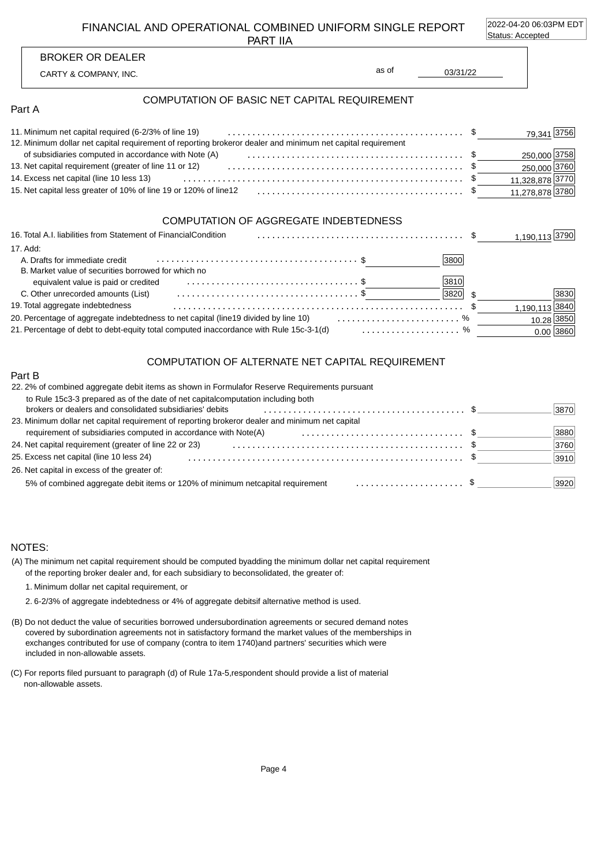| FINANCIAL AND OPERATIONAL COMBINED UNIFORM SINGLE REPORT |
|----------------------------------------------------------|
| PART IIA                                                 |

2022-04-20 06:03PM EDT Status: Accepted

| <b>BROKER OR DEALER</b>                                                                                                                                                                                                                                                                                                                                                   |       |                      |                                                                                   |
|---------------------------------------------------------------------------------------------------------------------------------------------------------------------------------------------------------------------------------------------------------------------------------------------------------------------------------------------------------------------------|-------|----------------------|-----------------------------------------------------------------------------------|
| CARTY & COMPANY, INC.                                                                                                                                                                                                                                                                                                                                                     | as of | 03/31/22             |                                                                                   |
| COMPUTATION OF BASIC NET CAPITAL REQUIREMENT<br>Part A                                                                                                                                                                                                                                                                                                                    |       |                      |                                                                                   |
| 11. Minimum net capital required (6-2/3% of line 19)<br>12. Minimum dollar net capital requirement of reporting broker or dealer and minimum net capital requirement<br>of subsidiaries computed in accordance with Note (A)<br>13. Net capital requirement (greater of line 11 or 12)<br>14. Excess net capital (line 10 less 13)                                        |       |                      | 79,341 3756<br>250,000 3758<br>250,000 3760<br>11,328,878 3770<br>11,278,878 3780 |
| <b>COMPUTATION OF AGGREGATE INDEBTEDNESS</b>                                                                                                                                                                                                                                                                                                                              |       |                      |                                                                                   |
| 16. Total A.I. liabilities from Statement of Financial Condition                                                                                                                                                                                                                                                                                                          |       |                      | 1,190,113 3790                                                                    |
| 17. Add:<br>A. Drafts for immediate credit<br>B. Market value of securities borrowed for which no<br>equivalent value is paid or credited expansion of the set of the set of the set of the set of the set of the set of the set of the set of the set of the set of the set of the set of the set of the set of the set of the set<br>C. Other unrecorded amounts (List) |       | 3800<br>3810<br>3820 | 3830                                                                              |
| 19. Total aggregate indebtedness                                                                                                                                                                                                                                                                                                                                          |       |                      | 1,190,113 3840                                                                    |
| 20. Percentage of aggregate indebtedness to net capital (line 19 divided by line 10)<br>21. Percentage of debt to debt-equity total computed in accordance with Rule 15c-3-1(d)                                                                                                                                                                                           |       | %                    | 10.28 3850<br>$0.00$ 3860                                                         |

### COMPUTATION OF ALTERNATE NET CAPITAL REQUIREMENT

| Part B                                                                                                                                          |      |
|-------------------------------------------------------------------------------------------------------------------------------------------------|------|
| 22.2% of combined aggregate debit items as shown in Formula for Reserve Requirements pursuant                                                   |      |
| to Rule 15c3-3 prepared as of the date of net capital<br>computation including both<br>brokers or dealers and consolidated subsidiaries' debits | 3870 |
| or dealer and minimum net capital<br>23. Minimum dollar net capital requirement of reporting broker                                             |      |
| requirement of subsidiaries computed in accordance with Note                                                                                    | 3880 |
| 24. Net capital requirement (greater of line 22 or 23)                                                                                          | 3760 |
| 25. Excess net capital (line 10 less 24)                                                                                                        | 3910 |
| 26. Net capital in excess of the greater of:                                                                                                    |      |
| capital requirement respectively capital requirement<br>5% of combined aggregate debit items or 120% of minimum net                             | 3920 |

### NOTES:

| (A) The minimum net capital requirement should be computed by adding the minimum dollar net capital requirement |  |
|-----------------------------------------------------------------------------------------------------------------|--|
| of the reporting broker dealer and, for each subsidiary to be consolidated, the greater of:                     |  |

1. Minimum dollar net capital requirement, or

- 2. 6-2/3% of aggregate indebtedness or 4% of aggregate debits if alternative method is used.
- (B) Do not deduct the value of securities borrowed under subordination agreements or secured demand notes included in non-allowable assets. exchanges contributed for use of company (contra to item 1740) and partners' securities which were covered by subordination agreements not in satisfactory form and the market values of the memberships in
- (C) For reports filed pursuant to paragraph (d) of Rule 17a-5, respondent should provide a list of material non-allowable assets.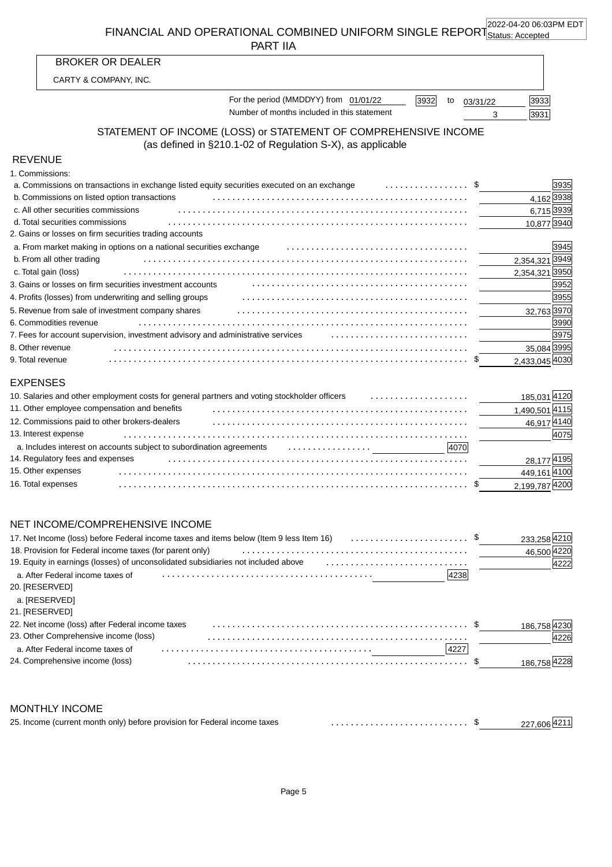FINANCIAL AND OPERATIONAL COMBINED UNIFORM SINGLE REPORT<sup>2022-04-20 06:03PM EDT</sup> PART IIA Status: Accepted

| PART IIA                                                                                                                                    |                   |
|---------------------------------------------------------------------------------------------------------------------------------------------|-------------------|
| <b>BROKER OR DEALER</b>                                                                                                                     |                   |
| CARTY & COMPANY, INC.                                                                                                                       |                   |
| For the period (MMDDYY) from 01/01/22<br>3932<br>to<br>03/31/22<br>Number of months included in this statement                              | 3933<br>3931<br>3 |
| STATEMENT OF INCOME (LOSS) or STATEMENT OF COMPREHENSIVE INCOME<br>(as defined in §210.1-02 of Regulation S-X), as applicable               |                   |
|                                                                                                                                             |                   |
| <b>REVENUE</b>                                                                                                                              |                   |
| 1. Commissions:<br>\$                                                                                                                       | 3935              |
| a. Commissions on transactions in exchange listed equity securities executed on an exchange<br>b. Commissions on listed option transactions | 4,162 3938        |
| c. All other securities commissions                                                                                                         | 6,715 3939        |
| d. Total securities commissions                                                                                                             | 10,877 3940       |
| 2. Gains or losses on firm securities trading accounts                                                                                      |                   |
| a. From market making in options on a national securities exchange                                                                          | 3945              |
| b. From all other trading                                                                                                                   | 2,354,321 3949    |
| c. Total gain (loss)                                                                                                                        | 2,354,321 3950    |
| 3. Gains or losses on firm securities investment accounts                                                                                   | 3952              |
| 4. Profits (losses) from underwriting and selling groups                                                                                    | 3955              |
| 5. Revenue from sale of investment company shares                                                                                           | 32,763 3970       |
| 6. Commodities revenue                                                                                                                      | 3990              |
| 7. Fees for account supervision, investment advisory and administrative services                                                            | 3975              |
| 8. Other revenue                                                                                                                            | 35,084 3995       |
| 9. Total revenue                                                                                                                            | 2,433,045 4030    |
|                                                                                                                                             |                   |
| <b>EXPENSES</b>                                                                                                                             |                   |
| 10. Salaries and other employment costs for general partners and voting stockholder officers                                                | 185,0314120       |
| 11. Other employee compensation and benefits                                                                                                | 1,490,501 4115    |
| 12. Commissions paid to other brokers-dealers                                                                                               | 46,917 4140       |
| 13. Interest expense                                                                                                                        | 4075              |
| a. Includes interest on accounts subject to subordination agreements<br>4070<br>.<br>14. Regulatory fees and expenses                       |                   |
| 15. Other expenses                                                                                                                          | 28,177 4195       |
| 16. Total expenses                                                                                                                          | 449,161 4100      |
|                                                                                                                                             | 2,199,787 4200    |
| NET INCOME/COMPREHENSIVE INCOME                                                                                                             |                   |
| 17. Net Income (loss) before Federal income taxes and items below (Item 9 less Item 16)<br>\$                                               | 233,258 4210      |
|                                                                                                                                             |                   |

|                                                                                   | 233.258 4210 |
|-----------------------------------------------------------------------------------|--------------|
| 18. Provision for Federal income taxes (for parent only)                          | 46.500 4220  |
| 19. Equity in earnings (losses) of unconsolidated subsidiaries not included above | 4222         |
| a. After Federal income taxes of<br>4238                                          |              |
| 20. [RESERVED]                                                                    |              |
| a. [RESERVED]                                                                     |              |
| 21. [RESERVED]                                                                    |              |
| 22. Net income (loss) after Federal income taxes                                  | 186.758 4230 |
| 23. Other Comprehensive income (loss)                                             | 4226         |
| a. After Federal income taxes of                                                  |              |
| 24. Comprehensive income (loss)                                                   | 186.7584228  |
|                                                                                   |              |

### MONTHLY INCOME

| 25. Income (current month only) before provision for Federal income taxes |  |  |
|---------------------------------------------------------------------------|--|--|
|---------------------------------------------------------------------------|--|--|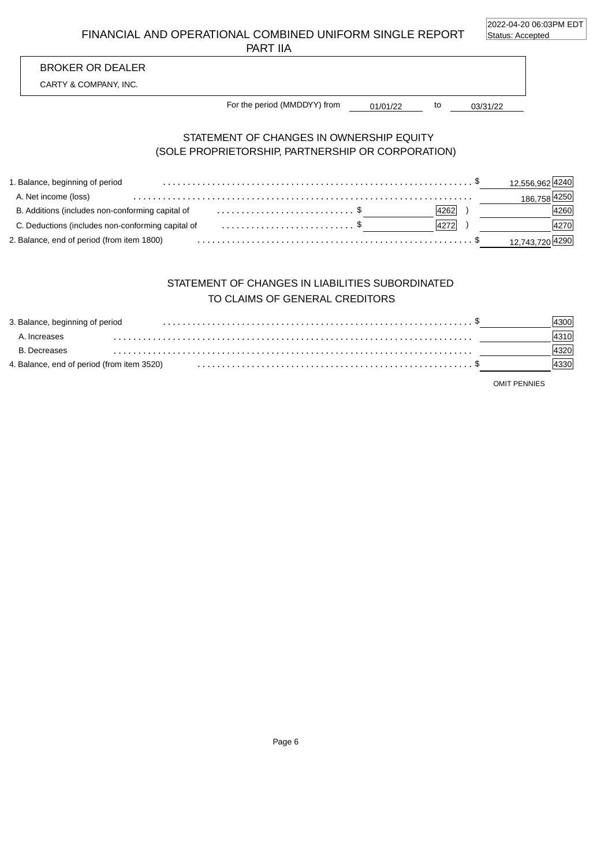2022-04-20 06:03PM EDT Status: Accepted

### FINANCIAL AND OPERATIONAL COMBINED UNIFORM SINGLE REPORT PART IIA

# BROKER OR DEALER

CARTY & COMPANY, INC.

For the period (MMDDYY) from

01/01/22 to 03/31/22

### STATEMENT OF CHANGES IN OWNERSHIP EQUITY (SOLE PROPRIETORSHIP, PARTNERSHIP OR CORPORATION)

| 1. Balance, beginning of period                                                        |      | 12,556,962 4240         |
|----------------------------------------------------------------------------------------|------|-------------------------|
| A. Net income (loss)                                                                   |      | 186.758 <sup>4250</sup> |
| B. Additions (includes non-conforming capital of                                       | 4262 | 4260                    |
| C. Deductions (includes non-conforming capital of entitled resonances of $\frac{1}{2}$ |      | 4270                    |
| 2. Balance, end of period (from item 1800)                                             |      | 12,743,720 4290         |

## STATEMENT OF CHANGES IN LIABILITIES SUBORDINATED TO CLAIMS OF GENERAL CREDITORS

| 3. Balance, beginning of period            |      |
|--------------------------------------------|------|
| A Increases                                |      |
| <b>B.</b> Decreases                        | 4320 |
| 4. Balance, end of period (from item 3520) |      |

OMIT PENNIES